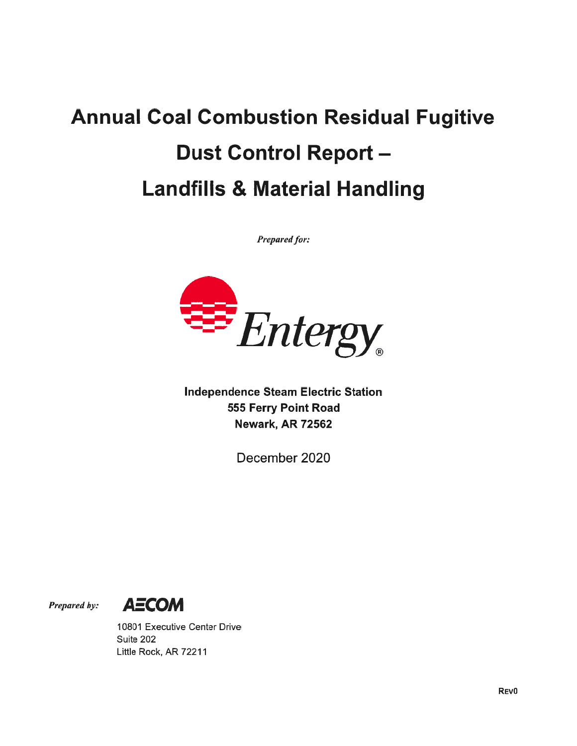## Annual Coal Combustion Residual Fugitive Dust Control Report — Landfills & Material Handling

Prepared for:



Independence Steam Electric Station 555 Ferry Point Road Newark, AR 72562

December 2020



10801 Executive Center Drive Suite 202 Little Rock, AR 72211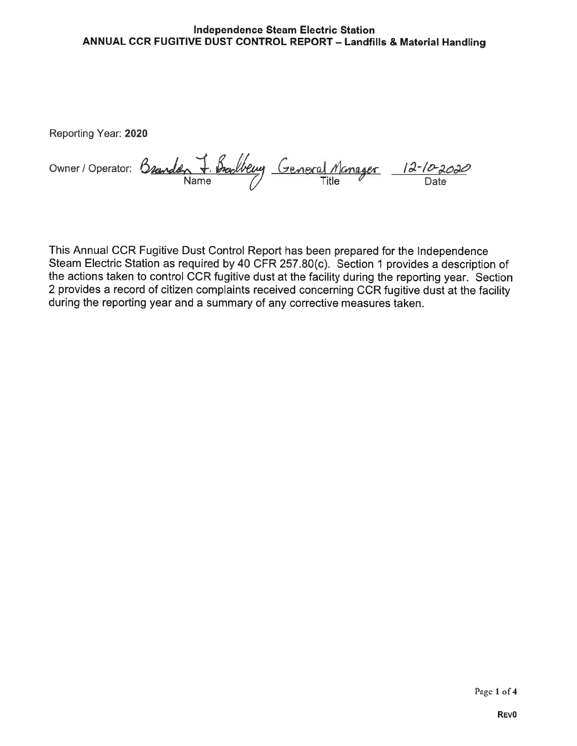## Independence Steam Electric Station ANNUAL CCR FUGITIVE DUST CONTROL REPORT — Landfills & Material Handling

Reporting Year: 2020

Owner / Operator: Branden J. Brandberry General Manager 12-10-2020 Name ( <del>Compact Title Date</del>

This Annual CCR Fugitive Dust Control Report has been prepared for the Independence Steam Electric Station as required by 40 CFR 257.80(c). Section <sup>1</sup> provides a description of the actions taken to control CCR fugitive dust at the facility during the reporting year. Section 2 provides a record of citizen complaints received concerning CCR fugitive dust at the facility during the reporting year and a summary of any corrective measures taken.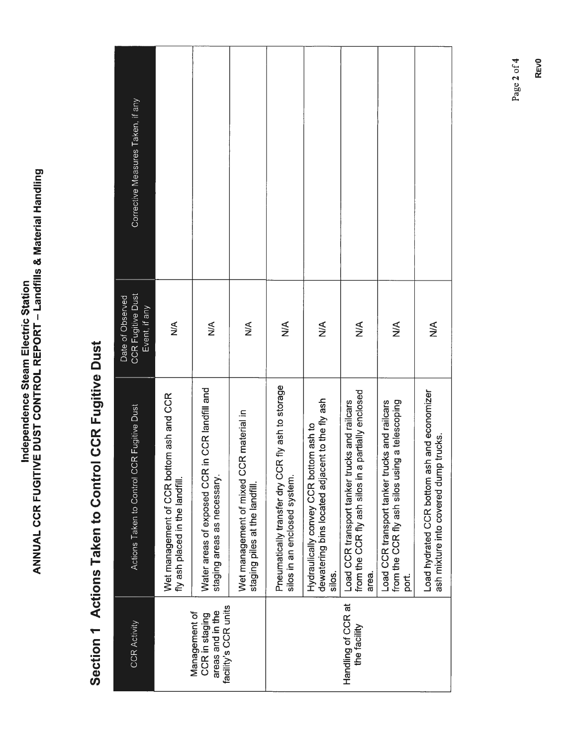|  | こうしょう りょう<br>e Steam El | $\frac{1}{\epsilon}$<br>į<br>í.<br>Ĩ.<br><b>Nation</b><br>JUAL CCR FUGITIVE DUST CONTROL REPORT - La |
|--|-------------------------|------------------------------------------------------------------------------------------------------|
|  |                         |                                                                                                      |

## Section 1 Actions Taken to Control CCR Fugitive Dust Section 1 Actions Taken to Control CCR Fugitive Dust

| Corrective Measures Taken, if any                             |                                                                             |                                                                                  |                                                                           |                                                                                   |                                                                                                     |                                                                                                              |                                                                                                          |                                                                                      |  |  |  |
|---------------------------------------------------------------|-----------------------------------------------------------------------------|----------------------------------------------------------------------------------|---------------------------------------------------------------------------|-----------------------------------------------------------------------------------|-----------------------------------------------------------------------------------------------------|--------------------------------------------------------------------------------------------------------------|----------------------------------------------------------------------------------------------------------|--------------------------------------------------------------------------------------|--|--|--|
| <b>CCR Fugitive Dust</b><br>Date of Observed<br>Event, if any | $\frac{1}{2}$                                                               | $\frac{1}{2}$                                                                    | $\frac{1}{2}$                                                             | $\frac{1}{2}$                                                                     | $\frac{1}{2}$                                                                                       | $\frac{1}{2}$                                                                                                | $\stackrel{\leq}{\geq}$                                                                                  | $\frac{1}{2}$                                                                        |  |  |  |
| Actions Taken to Control CCR Fugitive Dust                    | Wet management of CCR bottom ash and CCR<br>fly ash placed in the landfill. | in CCR landfill and<br>Water areas of exposed CCR<br>staging areas as necessary. | Wet management of mixed CCR material in<br>staging piles at the landfill. | Pneumatically transfer dry CCR fly ash to storage<br>silos in an enclosed system. | dewatering bins located adjacent to the fly ash<br>Hydraulically convey CCR bottom ash to<br>silos. | from the CCR fly ash silos in a partially enclosed<br>Load CCR transport tanker trucks and railcars<br>area. | from the CCR fly ash silos using a telescoping<br>Load CCR transport tanker trucks and railcars<br>port. | Load hydrated CCR bottom ash and economizer<br>ash mixture into covered dump trucks. |  |  |  |
| <b>CCR Activity</b>                                           |                                                                             | facility's CCR units<br>areas and in the<br>Management of<br>CCR in staging      |                                                                           |                                                                                   | Handling of CCR at<br>the facility                                                                  |                                                                                                              |                                                                                                          |                                                                                      |  |  |  |

Page 2 of 4 Page 2 of 4

REvO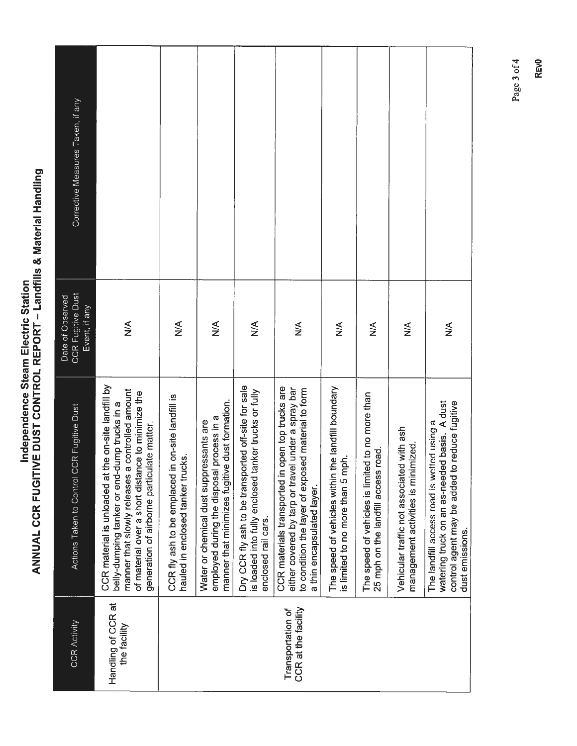Independence Steam Electric Station ANNUAL CCR FUGITIVE DUST CONTROL REPORT — Landfills ANUAL CCR FUGITIVE DUST CONTROL REPORT – Landfills & Material Handling Material Handling

| <b>CCR Activity</b>                      | <b>CR Fugitive Dust</b><br>Actions Taken to Control C                                                                                                                                                                                                          | <b>CCR Fugitive Dust</b><br>Date of Observed<br>Event, if any | Corrective Measures Taken, if any |
|------------------------------------------|----------------------------------------------------------------------------------------------------------------------------------------------------------------------------------------------------------------------------------------------------------------|---------------------------------------------------------------|-----------------------------------|
| Handling of CCR at<br>the facility       | the on-site landfill by<br>manner that slowly releases a controlled amount<br>of material over a short distance to minimize the<br>belly-dumping tanker or end-dump trucks in a<br>generation of airborne particulate matter.<br>CCR material is unloaded at t | $\frac{1}{2}$                                                 |                                   |
|                                          | CCR fly ash to be emplaced in on-site landfill is<br>hauled in enclosed tanker trucks.                                                                                                                                                                         | $\leq$                                                        |                                   |
|                                          | manner that minimizes fugitive dust formation.<br>process in a<br>Water or chemical dust suppressants are<br>employed during the disposal                                                                                                                      | $\leq$                                                        |                                   |
|                                          | Dry CCR fly ash to be transported off-site for sale<br>is loaded into fully enclosed tanker trucks or fully<br>enclosed rail cars.                                                                                                                             | $\frac{4}{2}$                                                 |                                   |
| CCR at the facility<br>Transportation of | CCR materials transported in open top trucks are<br>either covered by tarp or travel under a spray bar<br>to condition the layer of exposed material to form<br>a thin encapsulated layer.                                                                     | $\lessapprox$                                                 |                                   |
|                                          | the landfill boundary<br>is limited to no more than 5 mph.<br>The speed of vehicles within t                                                                                                                                                                   | ≸                                                             |                                   |
|                                          | The speed of vehicles is limited to no more than<br>25 mph on the landfill access road.                                                                                                                                                                        | ⋚                                                             |                                   |
|                                          | Vehicular traffic not associated with ash<br>management activities is minimized.                                                                                                                                                                               | $\frac{8}{2}$                                                 |                                   |
|                                          | watering truck on an as-needed basis. A dust<br>control agent may be added to reduce fugitive<br>The landfill access road is wetted using a<br>dust emissions.                                                                                                 | ≸                                                             |                                   |

Page 3 of 4 Page 3 of4

REvO